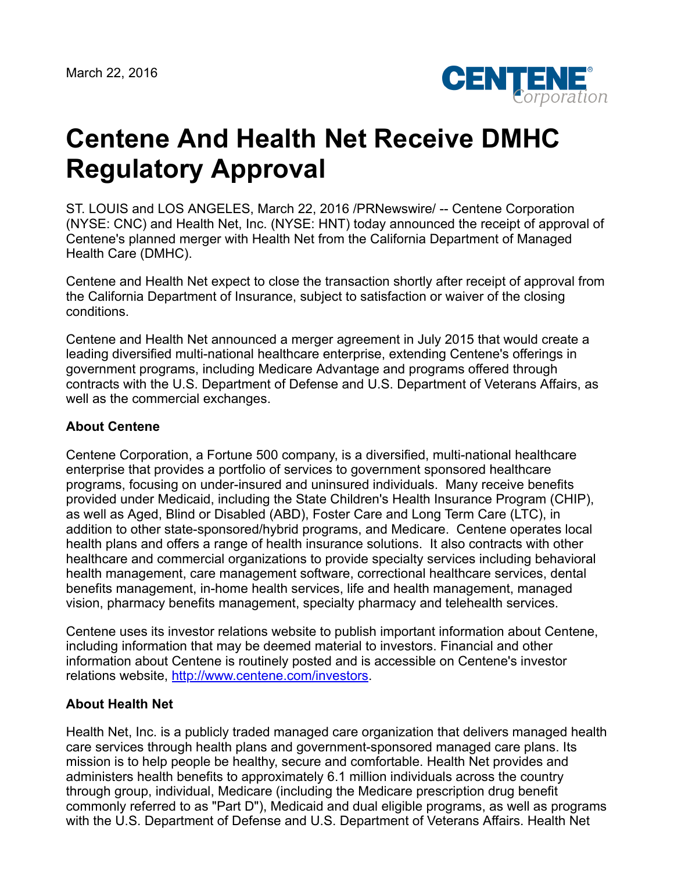

## **Centene And Health Net Receive DMHC Regulatory Approval**

ST. LOUIS and LOS ANGELES, March 22, 2016 /PRNewswire/ -- Centene Corporation (NYSE: CNC) and Health Net, Inc. (NYSE: HNT) today announced the receipt of approval of Centene's planned merger with Health Net from the California Department of Managed Health Care (DMHC).

Centene and Health Net expect to close the transaction shortly after receipt of approval from the California Department of Insurance, subject to satisfaction or waiver of the closing conditions.

Centene and Health Net announced a merger agreement in July 2015 that would create a leading diversified multi-national healthcare enterprise, extending Centene's offerings in government programs, including Medicare Advantage and programs offered through contracts with the U.S. Department of Defense and U.S. Department of Veterans Affairs, as well as the commercial exchanges.

## **About Centene**

Centene Corporation, a Fortune 500 company, is a diversified, multi-national healthcare enterprise that provides a portfolio of services to government sponsored healthcare programs, focusing on under-insured and uninsured individuals. Many receive benefits provided under Medicaid, including the State Children's Health Insurance Program (CHIP), as well as Aged, Blind or Disabled (ABD), Foster Care and Long Term Care (LTC), in addition to other state-sponsored/hybrid programs, and Medicare. Centene operates local health plans and offers a range of health insurance solutions. It also contracts with other healthcare and commercial organizations to provide specialty services including behavioral health management, care management software, correctional healthcare services, dental benefits management, in-home health services, life and health management, managed vision, pharmacy benefits management, specialty pharmacy and telehealth services.

Centene uses its investor relations website to publish important information about Centene, including information that may be deemed material to investors. Financial and other information about Centene is routinely posted and is accessible on Centene's investor relations website, <http://www.centene.com/investors>.

## **About Health Net**

Health Net, Inc. is a publicly traded managed care organization that delivers managed health care services through health plans and government-sponsored managed care plans. Its mission is to help people be healthy, secure and comfortable. Health Net provides and administers health benefits to approximately 6.1 million individuals across the country through group, individual, Medicare (including the Medicare prescription drug benefit commonly referred to as "Part D"), Medicaid and dual eligible programs, as well as programs with the U.S. Department of Defense and U.S. Department of Veterans Affairs. Health Net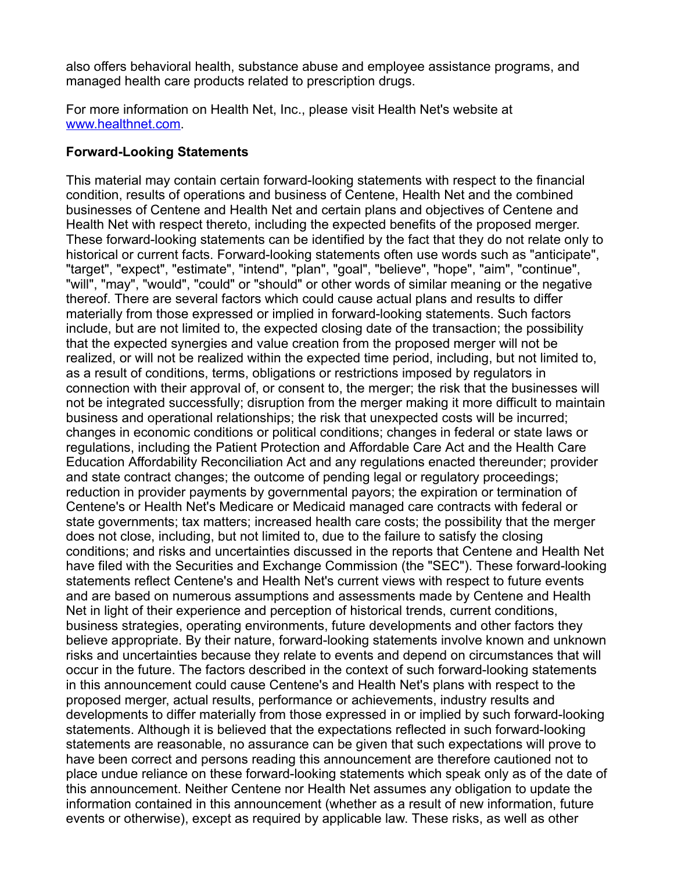also offers behavioral health, substance abuse and employee assistance programs, and managed health care products related to prescription drugs.

For more information on Health Net, Inc., please visit Health Net's website at [www.healthnet.com](http://www.healthnet.com/).

## **Forward-Looking Statements**

This material may contain certain forward-looking statements with respect to the financial condition, results of operations and business of Centene, Health Net and the combined businesses of Centene and Health Net and certain plans and objectives of Centene and Health Net with respect thereto, including the expected benefits of the proposed merger. These forward-looking statements can be identified by the fact that they do not relate only to historical or current facts. Forward-looking statements often use words such as "anticipate", "target", "expect", "estimate", "intend", "plan", "goal", "believe", "hope", "aim", "continue", "will", "may", "would", "could" or "should" or other words of similar meaning or the negative thereof. There are several factors which could cause actual plans and results to differ materially from those expressed or implied in forward-looking statements. Such factors include, but are not limited to, the expected closing date of the transaction; the possibility that the expected synergies and value creation from the proposed merger will not be realized, or will not be realized within the expected time period, including, but not limited to, as a result of conditions, terms, obligations or restrictions imposed by regulators in connection with their approval of, or consent to, the merger; the risk that the businesses will not be integrated successfully; disruption from the merger making it more difficult to maintain business and operational relationships; the risk that unexpected costs will be incurred; changes in economic conditions or political conditions; changes in federal or state laws or regulations, including the Patient Protection and Affordable Care Act and the Health Care Education Affordability Reconciliation Act and any regulations enacted thereunder; provider and state contract changes; the outcome of pending legal or regulatory proceedings; reduction in provider payments by governmental payors; the expiration or termination of Centene's or Health Net's Medicare or Medicaid managed care contracts with federal or state governments; tax matters; increased health care costs; the possibility that the merger does not close, including, but not limited to, due to the failure to satisfy the closing conditions; and risks and uncertainties discussed in the reports that Centene and Health Net have filed with the Securities and Exchange Commission (the "SEC"). These forward-looking statements reflect Centene's and Health Net's current views with respect to future events and are based on numerous assumptions and assessments made by Centene and Health Net in light of their experience and perception of historical trends, current conditions, business strategies, operating environments, future developments and other factors they believe appropriate. By their nature, forward-looking statements involve known and unknown risks and uncertainties because they relate to events and depend on circumstances that will occur in the future. The factors described in the context of such forward-looking statements in this announcement could cause Centene's and Health Net's plans with respect to the proposed merger, actual results, performance or achievements, industry results and developments to differ materially from those expressed in or implied by such forward-looking statements. Although it is believed that the expectations reflected in such forward-looking statements are reasonable, no assurance can be given that such expectations will prove to have been correct and persons reading this announcement are therefore cautioned not to place undue reliance on these forward-looking statements which speak only as of the date of this announcement. Neither Centene nor Health Net assumes any obligation to update the information contained in this announcement (whether as a result of new information, future events or otherwise), except as required by applicable law. These risks, as well as other